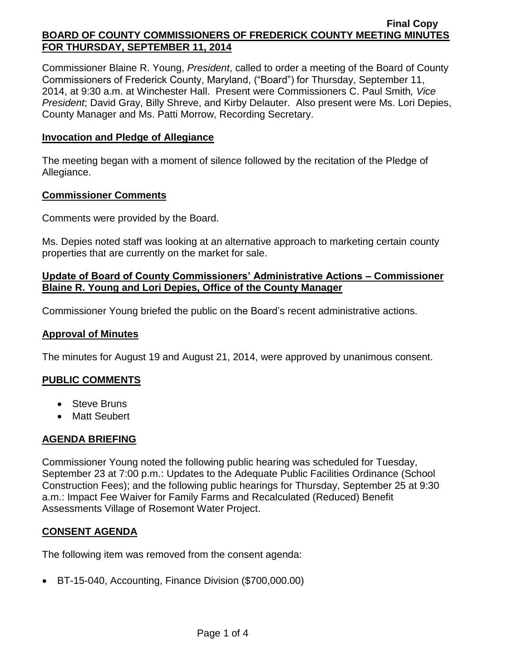Commissioner Blaine R. Young, *President*, called to order a meeting of the Board of County Commissioners of Frederick County, Maryland, ("Board") for Thursday, September 11, 2014, at 9:30 a.m. at Winchester Hall. Present were Commissioners C. Paul Smith*, Vice President*; David Gray, Billy Shreve, and Kirby Delauter. Also present were Ms. Lori Depies, County Manager and Ms. Patti Morrow, Recording Secretary.

#### **Invocation and Pledge of Allegiance**

The meeting began with a moment of silence followed by the recitation of the Pledge of Allegiance.

#### **Commissioner Comments**

Comments were provided by the Board.

Ms. Depies noted staff was looking at an alternative approach to marketing certain county properties that are currently on the market for sale.

### **Update of Board of County Commissioners' Administrative Actions – Commissioner Blaine R. Young and Lori Depies, Office of the County Manager**

Commissioner Young briefed the public on the Board's recent administrative actions.

### **Approval of Minutes**

The minutes for August 19 and August 21, 2014, were approved by unanimous consent.

# **PUBLIC COMMENTS**

- Steve Bruns
- Matt Seubert

# **AGENDA BRIEFING**

Commissioner Young noted the following public hearing was scheduled for Tuesday, September 23 at 7:00 p.m.: Updates to the Adequate Public Facilities Ordinance (School Construction Fees); and the following public hearings for Thursday, September 25 at 9:30 a.m.: Impact Fee Waiver for Family Farms and Recalculated (Reduced) Benefit Assessments Village of Rosemont Water Project.

# **CONSENT AGENDA**

The following item was removed from the consent agenda:

BT-15-040, Accounting, Finance Division (\$700,000.00)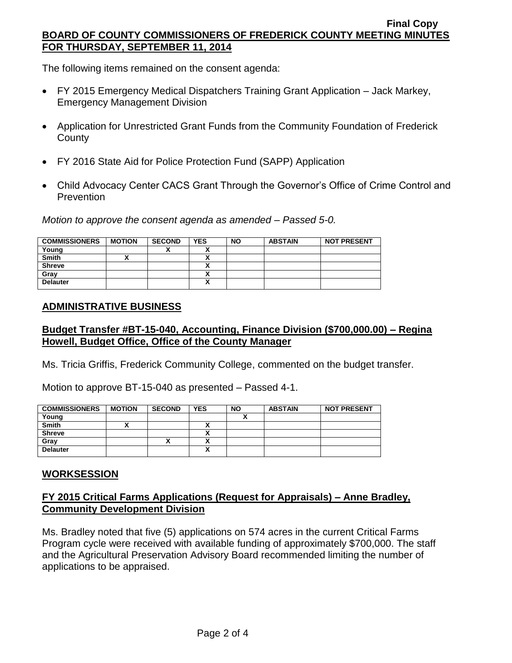The following items remained on the consent agenda:

- FY 2015 Emergency Medical Dispatchers Training Grant Application Jack Markey, Emergency Management Division
- Application for Unrestricted Grant Funds from the Community Foundation of Frederick **County**
- FY 2016 State Aid for Police Protection Fund (SAPP) Application
- Child Advocacy Center CACS Grant Through the Governor's Office of Crime Control and **Prevention**

*Motion to approve the consent agenda as amended – Passed 5-0.*

| <b>COMMISSIONERS</b> | <b>MOTION</b> | <b>SECOND</b> | <b>YES</b> | <b>NO</b> | <b>ABSTAIN</b> | <b>NOT PRESENT</b> |
|----------------------|---------------|---------------|------------|-----------|----------------|--------------------|
| Young                |               | Λ             | v<br>      |           |                |                    |
| <b>Smith</b>         |               |               | n          |           |                |                    |
| <b>Shreve</b>        |               |               |            |           |                |                    |
| Gray                 |               |               | ~          |           |                |                    |
| <b>Delauter</b>      |               |               | v          |           |                |                    |

# **ADMINISTRATIVE BUSINESS**

# **Budget Transfer #BT-15-040, Accounting, Finance Division (\$700,000.00) – Regina Howell, Budget Office, Office of the County Manager**

Ms. Tricia Griffis, Frederick Community College, commented on the budget transfer.

Motion to approve BT-15-040 as presented – Passed 4-1.

| <b>COMMISSIONERS</b> | <b>MOTION</b> | <b>SECOND</b> | <b>YES</b> | <b>NO</b> | <b>ABSTAIN</b> | <b>NOT PRESENT</b> |
|----------------------|---------------|---------------|------------|-----------|----------------|--------------------|
| Young                |               |               |            |           |                |                    |
| <b>Smith</b>         |               |               | 灬          |           |                |                    |
| <b>Shreve</b>        |               |               | ,,         |           |                |                    |
| Gray                 |               |               | Δ          |           |                |                    |
| <b>Delauter</b>      |               |               | v<br>́     |           |                |                    |

### **WORKSESSION**

### **FY 2015 Critical Farms Applications (Request for Appraisals) – Anne Bradley, Community Development Division**

Ms. Bradley noted that five (5) applications on 574 acres in the current Critical Farms Program cycle were received with available funding of approximately \$700,000. The staff and the Agricultural Preservation Advisory Board recommended limiting the number of applications to be appraised.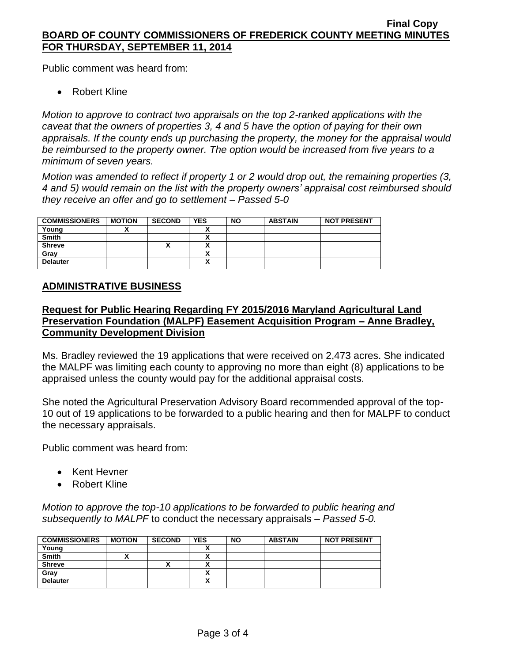Public comment was heard from:

• Robert Kline

*Motion to approve to contract two appraisals on the top 2-ranked applications with the caveat that the owners of properties 3, 4 and 5 have the option of paying for their own appraisals. If the county ends up purchasing the property, the money for the appraisal would be reimbursed to the property owner. The option would be increased from five years to a minimum of seven years.* 

*Motion was amended to reflect if property 1 or 2 would drop out, the remaining properties (3, 4 and 5) would remain on the list with the property owners' appraisal cost reimbursed should they receive an offer and go to settlement – Passed 5-0*

| <b>COMMISSIONERS</b> | <b>MOTION</b> | <b>SECOND</b> | <b>YES</b> | <b>NO</b> | <b>ABSTAIN</b> | <b>NOT PRESENT</b> |
|----------------------|---------------|---------------|------------|-----------|----------------|--------------------|
| Young                |               |               |            |           |                |                    |
| Smith                |               |               |            |           |                |                    |
| <b>Shreve</b>        |               |               |            |           |                |                    |
| Gray                 |               |               |            |           |                |                    |
| <b>Delauter</b>      |               |               | ~          |           |                |                    |

### **ADMINISTRATIVE BUSINESS**

# **Request for Public Hearing Regarding FY 2015/2016 Maryland Agricultural Land Preservation Foundation (MALPF) Easement Acquisition Program – Anne Bradley, Community Development Division**

Ms. Bradley reviewed the 19 applications that were received on 2,473 acres. She indicated the MALPF was limiting each county to approving no more than eight (8) applications to be appraised unless the county would pay for the additional appraisal costs.

She noted the Agricultural Preservation Advisory Board recommended approval of the top-10 out of 19 applications to be forwarded to a public hearing and then for MALPF to conduct the necessary appraisals.

Public comment was heard from:

- Kent Hevner
- Robert Kline

*Motion to approve the top-10 applications to be forwarded to public hearing and subsequently to MALPF* to conduct the necessary appraisals *– Passed 5-0.*

| <b>COMMISSIONERS</b> | <b>MOTION</b> | <b>SECOND</b> | <b>YES</b> | <b>NO</b> | <b>ABSTAIN</b> | <b>NOT PRESENT</b> |
|----------------------|---------------|---------------|------------|-----------|----------------|--------------------|
| Young                |               |               |            |           |                |                    |
| <b>Smith</b>         |               |               |            |           |                |                    |
| <b>Shreve</b>        |               |               |            |           |                |                    |
| Grav                 |               |               |            |           |                |                    |
| <b>Delauter</b>      |               |               | Λ          |           |                |                    |